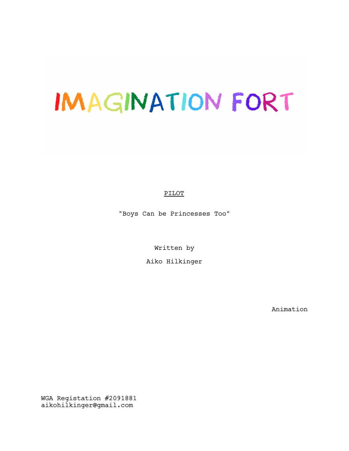# IMAGINATION FORT

PILOT

"Boys Can be Princesses Too"

Written by

Aiko Hilkinger

Animation

WGA Registation #2091881 aikohilkinger@gmail.com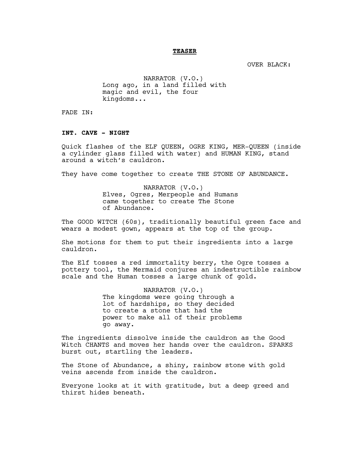#### **TEASER**

OVER BLACK:

NARRATOR (V.O.) Long ago, in a land filled with magic and evil, the four kingdoms...

FADE IN:

## **INT. CAVE - NIGHT**

Quick flashes of the ELF QUEEN, OGRE KING, MER-QUEEN (inside a cylinder glass filled with water) and HUMAN KING, stand around a witch's cauldron.

They have come together to create THE STONE OF ABUNDANCE.

NARRATOR (V.O.) Elves, Ogres, Merpeople and Humans came together to create The Stone of Abundance.

The GOOD WITCH (60s), traditionally beautiful green face and wears a modest gown, appears at the top of the group.

She motions for them to put their ingredients into a large cauldron.

The Elf tosses a red immortality berry, the Ogre tosses a pottery tool, the Mermaid conjures an indestructible rainbow scale and the Human tosses a large chunk of gold.

> NARRATOR (V.O.) The kingdoms were going through a lot of hardships, so they decided to create a stone that had the power to make all of their problems go away.

The ingredients dissolve inside the cauldron as the Good Witch CHANTS and moves her hands over the cauldron. SPARKS burst out, startling the leaders.

The Stone of Abundance, a shiny, rainbow stone with gold veins ascends from inside the cauldron.

Everyone looks at it with gratitude, but a deep greed and thirst hides beneath.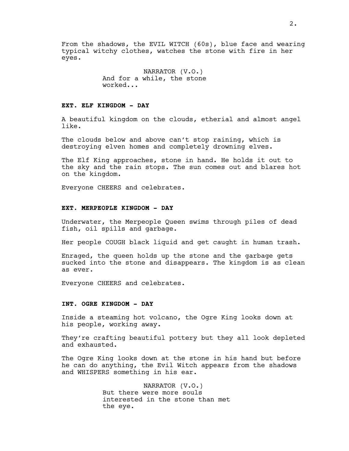From the shadows, the EVIL WITCH (60s), blue face and wearing typical witchy clothes, watches the stone with fire in her eyes.

> NARRATOR (V.O.) And for a while, the stone worked...

# **EXT. ELF KINGDOM - DAY**

A beautiful kingdom on the clouds, etherial and almost angel like.

The clouds below and above can't stop raining, which is destroying elven homes and completely drowning elves.

The Elf King approaches, stone in hand. He holds it out to the sky and the rain stops. The sun comes out and blares hot on the kingdom.

Everyone CHEERS and celebrates.

# **EXT. MERPEOPLE KINGDOM - DAY**

Underwater, the Merpeople Queen swims through piles of dead fish, oil spills and garbage.

Her people COUGH black liquid and get caught in human trash.

Enraged, the queen holds up the stone and the garbage gets sucked into the stone and disappears. The kingdom is as clean as ever.

Everyone CHEERS and celebrates.

## **INT. OGRE KINGDOM - DAY**

Inside a steaming hot volcano, the Ogre King looks down at his people, working away.

They're crafting beautiful pottery but they all look depleted and exhausted.

The Ogre King looks down at the stone in his hand but before he can do anything, the Evil Witch appears from the shadows and WHISPERS something in his ear.

> NARRATOR (V.O.) But there were more souls interested in the stone than met the eye.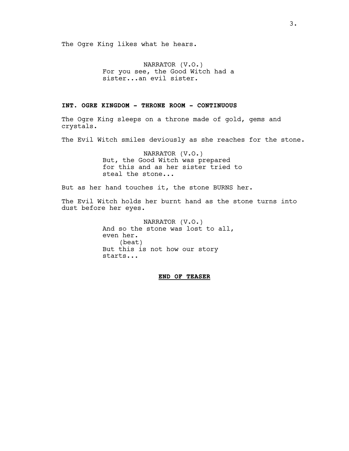The Ogre King likes what he hears.

NARRATOR (V.O.) For you see, the Good Witch had a sister...an evil sister.

# **INT. OGRE KINGDOM - THRONE ROOM - CONTINUOUS**

The Ogre King sleeps on a throne made of gold, gems and crystals.

The Evil Witch smiles deviously as she reaches for the stone.

NARRATOR (V.O.) But, the Good Witch was prepared for this and as her sister tried to steal the stone...

But as her hand touches it, the stone BURNS her.

The Evil Witch holds her burnt hand as the stone turns into dust before her eyes.

> NARRATOR (V.O.) And so the stone was lost to all, even her. (beat) But this is not how our story starts...

> > **END OF TEASER**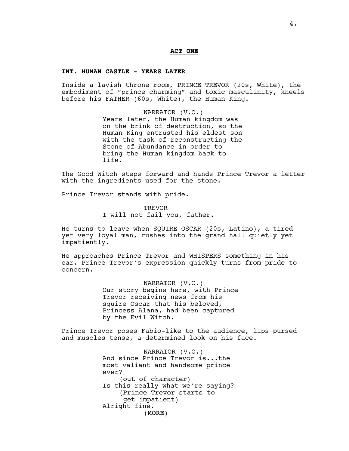#### **ACT ONE**

## **INT. HUMAN CASTLE - YEARS LATER**

Inside a lavish throne room, PRINCE TREVOR (20s, White), the embodiment of "prince charming" and toxic masculinity, kneels before his FATHER (60s, White), the Human King.

> NARRATOR (V.O.) Years later, the Human kingdom was on the brink of destruction, so the Human King entrusted his eldest son with the task of reconstructing the Stone of Abundance in order to bring the Human kingdom back to life.

The Good Witch steps forward and hands Prince Trevor a letter with the ingredients used for the stone.

Prince Trevor stands with pride.

**TREVOR** I will not fail you, father.

He turns to leave when SQUIRE OSCAR (20s, Latino), a tired yet very loyal man, rushes into the grand hall quietly yet impatiently.

He approaches Prince Trevor and WHISPERS something in his ear. Prince Trevor's expression quickly turns from pride to concern.

> NARRATOR (V.O.) Our story begins here, with Prince Trevor receiving news from his squire Oscar that his beloved, Princess Alana, had been captured by the Evil Witch.

Prince Trevor poses Fabio-like to the audience, lips pursed and muscles tense, a determined look on his face.

> (MORE) NARRATOR (V.O.) And since Prince Trevor is...the most valiant and handsome prince ever? (out of character) Is this really what we're saying? (Prince Trevor starts to get impatient) Alright fine.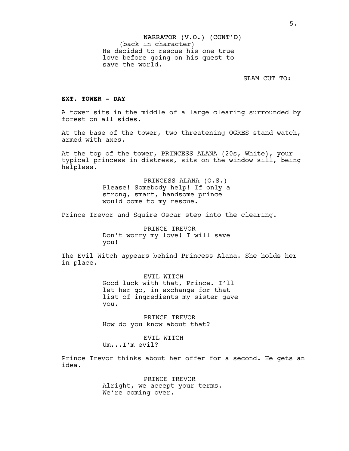SLAM CUT TO:

# **EXT. TOWER - DAY**

A tower sits in the middle of a large clearing surrounded by forest on all sides.

At the base of the tower, two threatening OGRES stand watch, armed with axes.

At the top of the tower, PRINCESS ALANA (20s, White), your typical princess in distress, sits on the window sill, being helpless.

> PRINCESS ALANA (O.S.) Please! Somebody help! If only a strong, smart, handsome prince would come to my rescue.

Prince Trevor and Squire Oscar step into the clearing.

PRINCE TREVOR Don't worry my love! I will save you!

The Evil Witch appears behind Princess Alana. She holds her in place.

> EVIL WITCH Good luck with that, Prince. I'll let her go, in exchange for that list of ingredients my sister gave you.

PRINCE TREVOR How do you know about that?

EVIL WITCH Um...I'm evil?

Prince Trevor thinks about her offer for a second. He gets an idea.

> PRINCE TREVOR Alright, we accept your terms. We're coming over.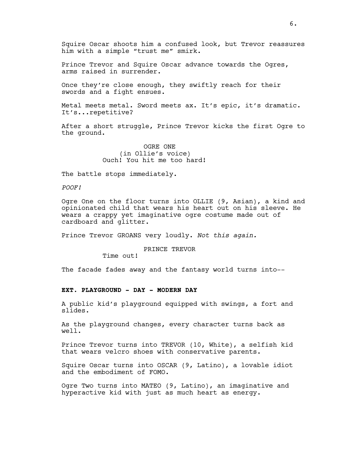Squire Oscar shoots him a confused look, but Trevor reassures him with a simple "trust me" smirk.

Prince Trevor and Squire Oscar advance towards the Ogres, arms raised in surrender.

Once they're close enough, they swiftly reach for their swords and a fight ensues.

Metal meets metal. Sword meets ax. It's epic, it's dramatic. It's...repetitive?

After a short struggle, Prince Trevor kicks the first Ogre to the ground.

> OGRE ONE (in Ollie's voice) Ouch! You hit me too hard!

The battle stops immediately.

*POOF!*

Ogre One on the floor turns into OLLIE (9, Asian), a kind and opinionated child that wears his heart out on his sleeve. He wears a crappy yet imaginative ogre costume made out of cardboard and glitter.

Prince Trevor GROANS very loudly. *Not this again.*

# PRINCE TREVOR

Time out!

The facade fades away and the fantasy world turns into--

#### **EXT. PLAYGROUND - DAY - MODERN DAY**

A public kid's playground equipped with swings, a fort and slides.

As the playground changes, every character turns back as well.

Prince Trevor turns into TREVOR (10, White), a selfish kid that wears velcro shoes with conservative parents.

Squire Oscar turns into OSCAR (9, Latino), a lovable idiot and the embodiment of FOMO.

Ogre Two turns into MATEO (9, Latino), an imaginative and hyperactive kid with just as much heart as energy.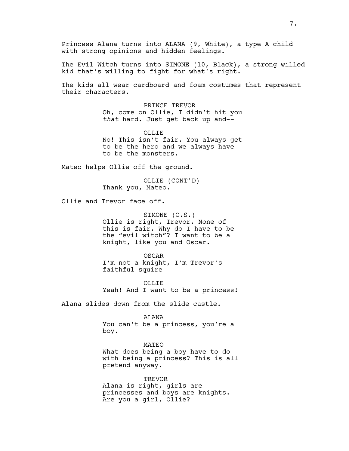Princess Alana turns into ALANA (9, White), a type A child with strong opinions and hidden feelings.

The Evil Witch turns into SIMONE (10, Black), a strong willed kid that's willing to fight for what's right.

The kids all wear cardboard and foam costumes that represent their characters.

> PRINCE TREVOR Oh, come on Ollie, I didn't hit you *that* hard. Just get back up and--

> OLLIE No! This isn't fair. You always get to be the hero and we always have to be the monsters.

Mateo helps Ollie off the ground.

OLLIE (CONT'D) Thank you, Mateo.

Ollie and Trevor face off.

SIMONE (O.S.) Ollie is right, Trevor. None of this is fair. Why do I have to be the "evil witch"? I want to be a knight, like you and Oscar.

OSCAR I'm not a knight, I'm Trevor's faithful squire--

OLLIE Yeah! And I want to be a princess!

Alana slides down from the slide castle.

ALANA

You can't be a princess, you're a boy.

MATEO What does being a boy have to do with being a princess? This is all pretend anyway.

**TREVOR** Alana is right, girls are princesses and boys are knights. Are you a girl, Ollie?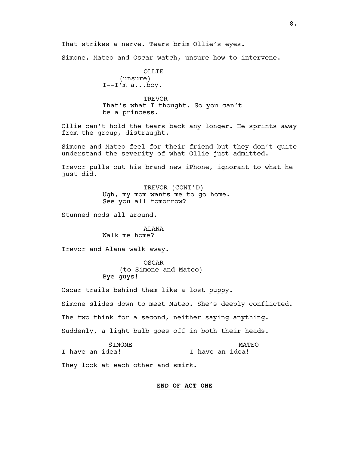That strikes a nerve. Tears brim Ollie's eyes.

Simone, Mateo and Oscar watch, unsure how to intervene.

OLLIE (unsure)  $I--I'm$  a...boy.

**TREVOR** That's what I thought. So you can't be a princess.

Ollie can't hold the tears back any longer. He sprints away from the group, distraught.

Simone and Mateo feel for their friend but they don't quite understand the severity of what Ollie just admitted.

Trevor pulls out his brand new iPhone, ignorant to what he just did.

> TREVOR (CONT'D) Ugh, my mom wants me to go home. See you all tomorrow?

Stunned nods all around.

# ALANA Walk me home?

Trevor and Alana walk away.

OSCAR (to Simone and Mateo) Bye guys!

Oscar trails behind them like a lost puppy.

Simone slides down to meet Mateo. She's deeply conflicted.

The two think for a second, neither saying anything.

Suddenly, a light bulb goes off in both their heads.

|  | <b>STMONE</b>   |  | MATEO           |
|--|-----------------|--|-----------------|
|  | I have an idea! |  | I have an idea! |

They look at each other and smirk.

# **END OF ACT ONE**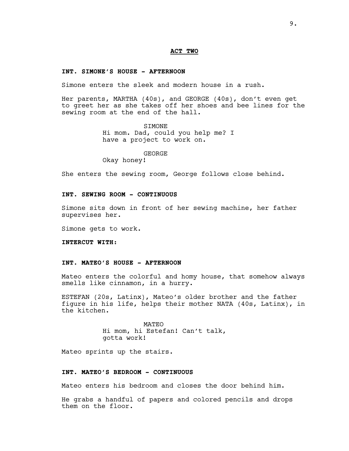#### **ACT TWO**

#### **INT. SIMONE'S HOUSE - AFTERNOON**

Simone enters the sleek and modern house in a rush.

Her parents, MARTHA (40s), and GEORGE (40s), don't even get to greet her as she takes off her shoes and bee lines for the sewing room at the end of the hall.

> SIMONE Hi mom. Dad, could you help me? I have a project to work on.

# GEORGE

Okay honey!

She enters the sewing room, George follows close behind.

# **INT. SEWING ROOM - CONTINUOUS**

Simone sits down in front of her sewing machine, her father supervises her.

Simone gets to work.

**INTERCUT WITH:**

## **INT. MATEO'S HOUSE - AFTERNOON**

Mateo enters the colorful and homy house, that somehow always smells like cinnamon, in a hurry.

ESTEFAN (20s, Latinx), Mateo's older brother and the father figure in his life, helps their mother NATA (40s, Latinx), in the kitchen.

> MATEO Hi mom, hi Estefan! Can't talk, gotta work!

Mateo sprints up the stairs.

#### **INT. MATEO'S BEDROOM - CONTINUOUS**

Mateo enters his bedroom and closes the door behind him.

He grabs a handful of papers and colored pencils and drops them on the floor.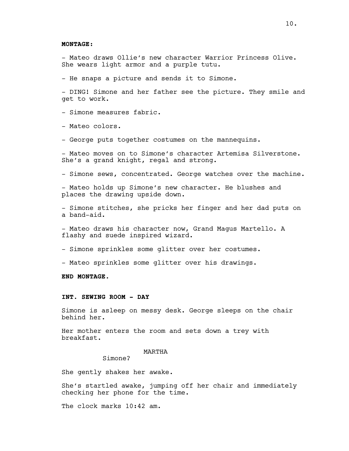#### **MONTAGE:**

- Mateo draws Ollie's new character Warrior Princess Olive. She wears light armor and a purple tutu.

- He snaps a picture and sends it to Simone.

- DING! Simone and her father see the picture. They smile and get to work.

- Simone measures fabric.

- Mateo colors.

- George puts together costumes on the mannequins.

- Mateo moves on to Simone's character Artemisa Silverstone. She's a grand knight, regal and strong.

- Simone sews, concentrated. George watches over the machine.

- Mateo holds up Simone's new character. He blushes and places the drawing upside down.

- Simone stitches, she pricks her finger and her dad puts on a band-aid.

- Mateo draws his character now, Grand Magus Martello. A flashy and suede inspired wizard.

- Simone sprinkles some glitter over her costumes.

- Mateo sprinkles some glitter over his drawings.

**END MONTAGE.**

## **INT. SEWING ROOM - DAY**

Simone is asleep on messy desk. George sleeps on the chair behind her.

Her mother enters the room and sets down a trey with breakfast.

# MARTHA

Simone?

She gently shakes her awake.

She's startled awake, jumping off her chair and immediately checking her phone for the time.

The clock marks 10:42 am.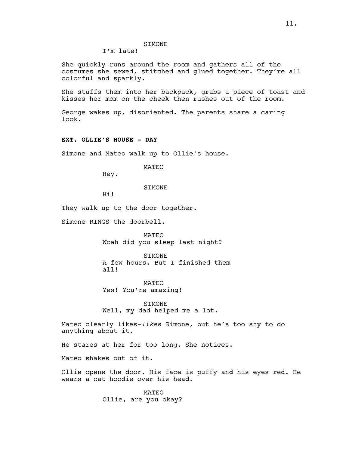# **STMONE**

I'm late!

She quickly runs around the room and gathers all of the costumes she sewed, stitched and glued together. They're all colorful and sparkly.

She stuffs them into her backpack, grabs a piece of toast and kisses her mom on the cheek then rushes out of the room.

George wakes up, disoriented. The parents share a caring look.

# **EXT. OLLIE'S HOUSE - DAY**

Simone and Mateo walk up to Ollie's house.

MATEO

Hey.

SIMONE

Hi!

They walk up to the door together.

Simone RINGS the doorbell.

MATEO Woah did you sleep last night?

SIMONE A few hours. But I finished them all!

MATEO Yes! You're amazing!

SIMONE Well, my dad helped me a lot.

Mateo clearly likes-*likes* Simone, but he's too shy to do anything about it.

He stares at her for too long. She notices.

Mateo shakes out of it.

Ollie opens the door. His face is puffy and his eyes red. He wears a cat hoodie over his head.

> MATEO Ollie, are you okay?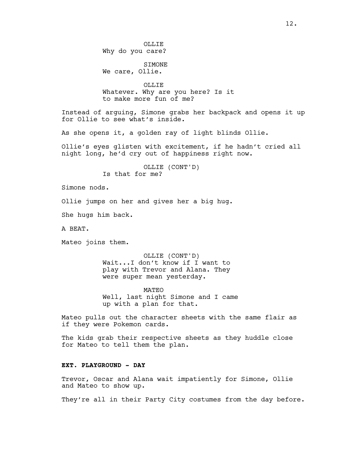**OLLIF** Why do you care? SIMONE We care, Ollie. OLLIE Whatever. Why are you here? Is it to make more fun of me? Instead of arguing, Simone grabs her backpack and opens it up for Ollie to see what's inside. As she opens it, a golden ray of light blinds Ollie. Ollie's eyes glisten with excitement, if he hadn't cried all night long, he'd cry out of happiness right now. OLLIE (CONT'D) Is that for me? Simone nods. Ollie jumps on her and gives her a big hug. She hugs him back. A BEAT. Mateo joins them. OLLIE (CONT'D) Wait...I don't know if I want to play with Trevor and Alana. They were super mean yesterday. MATEO Well, last night Simone and I came up with a plan for that. Mateo pulls out the character sheets with the same flair as if they were Pokemon cards. The kids grab their respective sheets as they huddle close for Mateo to tell them the plan. **EXT. PLAYGROUND - DAY** Trevor, Oscar and Alana wait impatiently for Simone, Ollie and Mateo to show up. They're all in their Party City costumes from the day before.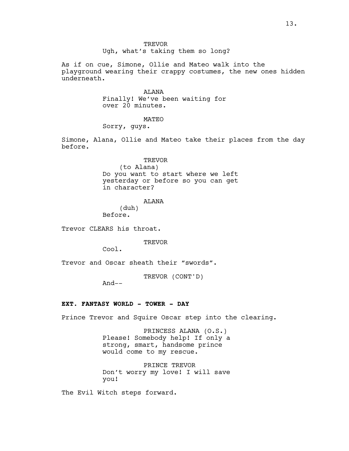**TREVOR** Ugh, what's taking them so long?

As if on cue, Simone, Ollie and Mateo walk into the playground wearing their crappy costumes, the new ones hidden underneath.

> ALANA Finally! We've been waiting for over 20 minutes.

> > MATEO

Sorry, guys.

Simone, Alana, Ollie and Mateo take their places from the day before.

> TREVOR (to Alana) Do you want to start where we left yesterday or before so you can get in character?

#### ALANA

(duh) Before.

Trevor CLEARS his throat.

**TREVOR** 

Cool.

Trevor and Oscar sheath their "swords".

TREVOR (CONT'D)

 $And--$ 

# **EXT. FANTASY WORLD - TOWER - DAY**

Prince Trevor and Squire Oscar step into the clearing.

PRINCESS ALANA (O.S.) Please! Somebody help! If only a strong, smart, handsome prince would come to my rescue.

PRINCE TREVOR Don't worry my love! I will save you!

The Evil Witch steps forward.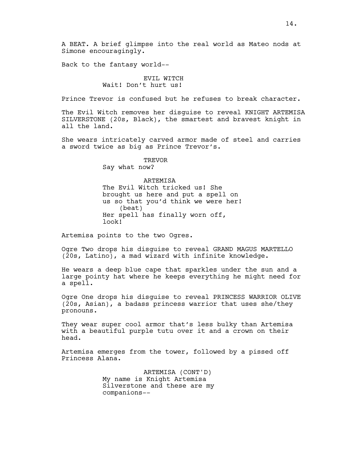A BEAT. A brief glimpse into the real world as Mateo nods at Simone encouragingly.

Back to the fantasy world--

# EVIL WITCH Wait! Don't hurt us!

Prince Trevor is confused but he refuses to break character.

The Evil Witch removes her disguise to reveal KNIGHT ARTEMISA SILVERSTONE (20s, Black), the smartest and bravest knight in all the land.

She wears intricately carved armor made of steel and carries a sword twice as big as Prince Trevor's.

> TREVOR Say what now?

## ARTEMISA

The Evil Witch tricked us! She brought us here and put a spell on us so that you'd think we were her! (beat) Her spell has finally worn off, look!

Artemisa points to the two Ogres.

Ogre Two drops his disguise to reveal GRAND MAGUS MARTELLO (20s, Latino), a mad wizard with infinite knowledge.

He wears a deep blue cape that sparkles under the sun and a large pointy hat where he keeps everything he might need for a spell.

Ogre One drops his disguise to reveal PRINCESS WARRIOR OLIVE (20s, Asian), a badass princess warrior that uses she/they pronouns.

They wear super cool armor that's less bulky than Artemisa with a beautiful purple tutu over it and a crown on their head.

Artemisa emerges from the tower, followed by a pissed off Princess Alana.

> ARTEMISA (CONT'D) My name is Knight Artemisa Silverstone and these are my companions--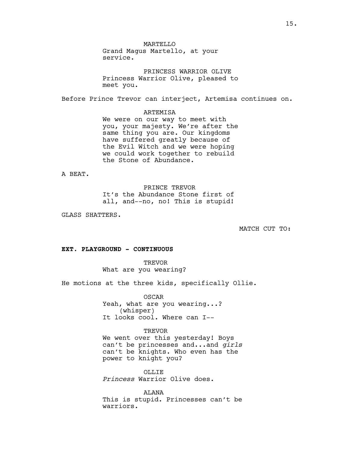**MARTELLO** Grand Magus Martello, at your service.

PRINCESS WARRIOR OLIVE Princess Warrior Olive, pleased to meet you.

Before Prince Trevor can interject, Artemisa continues on.

#### ARTEMISA

We were on our way to meet with you, your majesty. We're after the same thing you are. Our kingdoms have suffered greatly because of the Evil Witch and we were hoping we could work together to rebuild the Stone of Abundance.

A BEAT.

PRINCE TREVOR It's the Abundance Stone first of all, and--no, no! This is stupid!

GLASS SHATTERS.

MATCH CUT TO:

# **EXT. PLAYGROUND - CONTINUOUS**

**TREVOR** What are you wearing?

He motions at the three kids, specifically Ollie.

OSCAR Yeah, what are you wearing...? (whisper) It looks cool. Where can I--

TREVOR

We went over this yesterday! Boys can't be princesses and...and *girls* can't be knights. Who even has the power to knight you?

**OLLIE** *Princess* Warrior Olive does.

ALANA This is stupid. Princesses can't be warriors.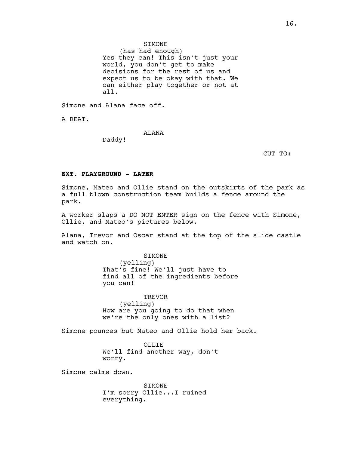# SIMONE

(has had enough) Yes they can! This isn't just your world, you don't get to make decisions for the rest of us and expect us to be okay with that. We can either play together or not at all.

Simone and Alana face off.

A BEAT.

**ALANA** 

Daddy!

CUT TO:

# **EXT. PLAYGROUND - LATER**

Simone, Mateo and Ollie stand on the outskirts of the park as a full blown construction team builds a fence around the park.

A worker slaps a DO NOT ENTER sign on the fence with Simone, Ollie, and Mateo's pictures below.

Alana, Trevor and Oscar stand at the top of the slide castle and watch on.

> **STMONE** (yelling) That's fine! We'll just have to find all of the ingredients before you can!

TREVOR (yelling) How are you going to do that when we're the only ones with a list?

Simone pounces but Mateo and Ollie hold her back.

OLLIE We'll find another way, don't worry.

Simone calms down.

SIMONE I'm sorry Ollie...I ruined everything.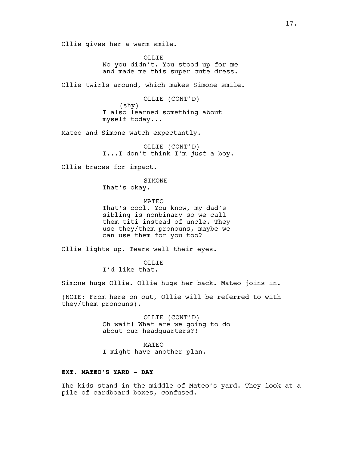Ollie gives her a warm smile.

OLLIE No you didn't. You stood up for me and made me this super cute dress.

Ollie twirls around, which makes Simone smile.

OLLIE (CONT'D) (shy) I also learned something about myself today...

Mateo and Simone watch expectantly.

OLLIE (CONT'D) I...I don't think I'm *just* a boy.

Ollie braces for impact.

**STMONE** 

That's okay.

MATEO That's cool. You know, my dad's sibling is nonbinary so we call them titi instead of uncle. They use they/them pronouns, maybe we can use them for you too?

Ollie lights up. Tears well their eyes.

OLLIE I'd like that.

Simone hugs Ollie. Ollie hugs her back. Mateo joins in.

(NOTE: From here on out, Ollie will be referred to with they/them pronouns).

> OLLIE (CONT'D) Oh wait! What are we going to do about our headquarters?!

MATEO I might have another plan.

# **EXT. MATEO'S YARD - DAY**

The kids stand in the middle of Mateo's yard. They look at a pile of cardboard boxes, confused.